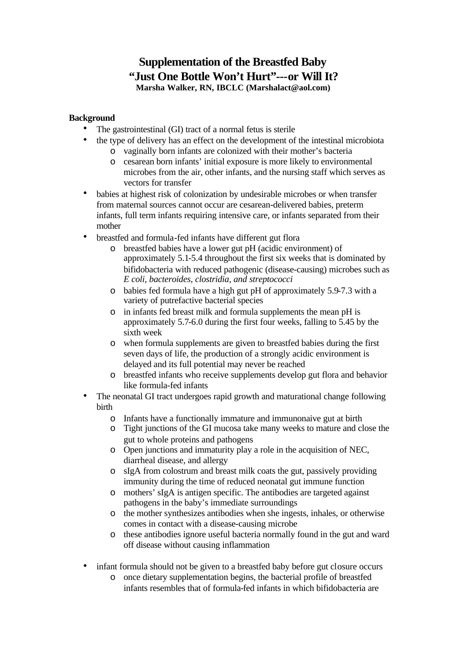## **Supplementation of the Breastfed Baby "Just One Bottle Won't Hurt"---or Will It? Marsha Walker, RN, IBCLC (Marshalact@aol.com)**

## **Background**

- The gastrointestinal (GI) tract of a normal fetus is sterile
- the type of delivery has an effect on the development of the intestinal microbiota
	- o vaginally born infants are colonized with their mother's bacteria
	- o cesarean born infants' initial exposure is more likely to environmental microbes from the air, other infants, and the nursing staff which serves as vectors for transfer
- babies at highest risk of colonization by undesirable microbes or when transfer from maternal sources cannot occur are cesarean-delivered babies, preterm infants, full term infants requiring intensive care, or infants separated from their mother
- breastfed and formula-fed infants have different gut flora
	- o breastfed babies have a lower gut pH (acidic environment) of approximately 5.1-5.4 throughout the first six weeks that is dominated by bifidobacteria with reduced pathogenic (disease-causing) microbes such as *E coli, bacteroides, clostridia, and streptococci*
	- o babies fed formula have a high gut pH of approximately 5.9-7.3 with a variety of putrefactive bacterial species
	- o in infants fed breast milk and formula supplements the mean pH is approximately 5.7-6.0 during the first four weeks, falling to 5.45 by the sixth week
	- o when formula supplements are given to breastfed babies during the first seven days of life, the production of a strongly acidic environment is delayed and its full potential may never be reached
	- o breastfed infants who receive supplements develop gut flora and behavior like formula-fed infants
- The neonatal GI tract undergoes rapid growth and maturational change following birth
	- o Infants have a functionally immature and immunonaive gut at birth
	- o Tight junctions of the GI mucosa take many weeks to mature and close the gut to whole proteins and pathogens
	- o Open junctions and immaturity play a role in the acquisition of NEC, diarrheal disease, and allergy
	- o sIgA from colostrum and breast milk coats the gut, passively providing immunity during the time of reduced neonatal gut immune function
	- o mothers' sIgA is antigen specific. The antibodies are targeted against pathogens in the baby's immediate surroundings
	- o the mother synthesizes antibodies when she ingests, inhales, or otherwise comes in contact with a disease-causing microbe
	- o these antibodies ignore useful bacteria normally found in the gut and ward off disease without causing inflammation
- infant formula should not be given to a breastfed baby before gut closure occurs
	- o once dietary supplementation begins, the bacterial profile of breastfed infants resembles that of formula-fed infants in which bifidobacteria are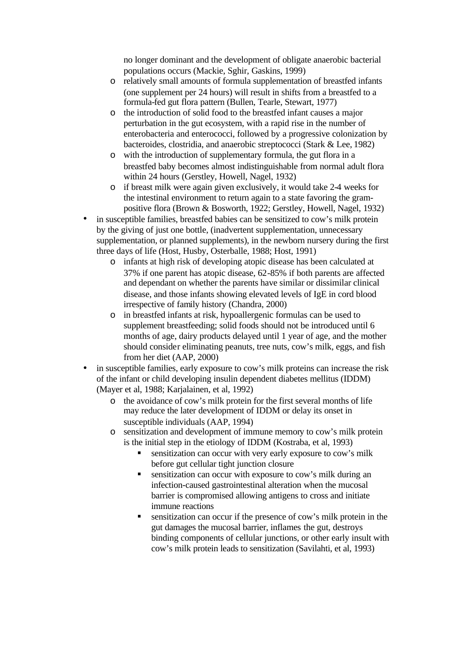no longer dominant and the development of obligate anaerobic bacterial populations occurs (Mackie, Sghir, Gaskins, 1999)

- o relatively small amounts of formula supplementation of breastfed infants (one supplement per 24 hours) will result in shifts from a breastfed to a formula-fed gut flora pattern (Bullen, Tearle, Stewart, 1977)
- o the introduction of solid food to the breastfed infant causes a major perturbation in the gut ecosystem, with a rapid rise in the number of enterobacteria and enterococci, followed by a progressive colonization by bacteroides, clostridia, and anaerobic streptococci (Stark & Lee, 1982)
- o with the introduction of supplementary formula, the gut flora in a breastfed baby becomes almost indistinguishable from normal adult flora within 24 hours (Gerstley, Howell, Nagel, 1932)
- o if breast milk were again given exclusively, it would take 2-4 weeks for the intestinal environment to return again to a state favoring the grampositive flora (Brown & Bosworth, 1922; Gerstley, Howell, Nagel, 1932)
- in susceptible families, breastfed babies can be sensitized to cow's milk protein by the giving of just one bottle, (inadvertent supplementation, unnecessary supplementation, or planned supplements), in the newborn nursery during the first three days of life (Host, Husby, Osterballe, 1988; Host, 1991)
	- o infants at high risk of developing atopic disease has been calculated at 37% if one parent has atopic disease, 62-85% if both parents are affected and dependant on whether the parents have similar or dissimilar clinical disease, and those infants showing elevated levels of IgE in cord blood irrespective of family history (Chandra, 2000)
	- o in breastfed infants at risk, hypoallergenic formulas can be used to supplement breastfeeding; solid foods should not be introduced until 6 months of age, dairy products delayed until 1 year of age, and the mother should consider eliminating peanuts, tree nuts, cow's milk, eggs, and fish from her diet (AAP, 2000)
- in susceptible families, early exposure to cow's milk proteins can increase the risk of the infant or child developing insulin dependent diabetes mellitus (IDDM) (Mayer et al, 1988; Karjalainen, et al, 1992)
	- o the avoidance of cow's milk protein for the first several months of life may reduce the later development of IDDM or delay its onset in susceptible individuals (AAP, 1994)
	- o sensitization and development of immune memory to cow's milk protein is the initial step in the etiology of IDDM (Kostraba, et al, 1993)
		- sensitization can occur with very early exposure to cow's milk before gut cellular tight junction closure
		- sensitization can occur with exposure to cow's milk during an infection-caused gastrointestinal alteration when the mucosal barrier is compromised allowing antigens to cross and initiate immune reactions
		- $\blacksquare$  sensitization can occur if the presence of cow's milk protein in the gut damages the mucosal barrier, inflames the gut, destroys binding components of cellular junctions, or other early insult with cow's milk protein leads to sensitization (Savilahti, et al, 1993)